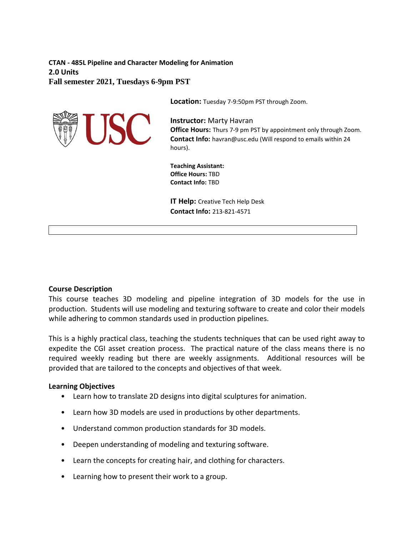**CTAN - 485L Pipeline and Character Modeling for Animation 2.0 Units Fall semester 2021, Tuesdays 6-9pm PST**

USC

**Location:** Tuesday 7-9:50pm PST through Zoom.

**Instructor:** Marty Havran **Office Hours:** Thurs 7-9 pm PST by appointment only through Zoom. **Contact Info:** havran@usc.edu (Will respond to emails within 24 hours).

**Teaching Assistant: Office Hours:** TBD **Contact Info:** TBD

**IT Help:** Creative Tech Help Desk **Contact Info:** 213-821-4571

### **Course Description**

This course teaches 3D modeling and pipeline integration of 3D models for the use in production. Students will use modeling and texturing software to create and color their models while adhering to common standards used in production pipelines.

This is a highly practical class, teaching the students techniques that can be used right away to expedite the CGI asset creation process. The practical nature of the class means there is no required weekly reading but there are weekly assignments. Additional resources will be provided that are tailored to the concepts and objectives of that week.

### **Learning Objectives**

- Learn how to translate 2D designs into digital sculptures for animation.
- Learn how 3D models are used in productions by other departments.
- Understand common production standards for 3D models.
- Deepen understanding of modeling and texturing software.
- Learn the concepts for creating hair, and clothing for characters.
- Learning how to present their work to a group.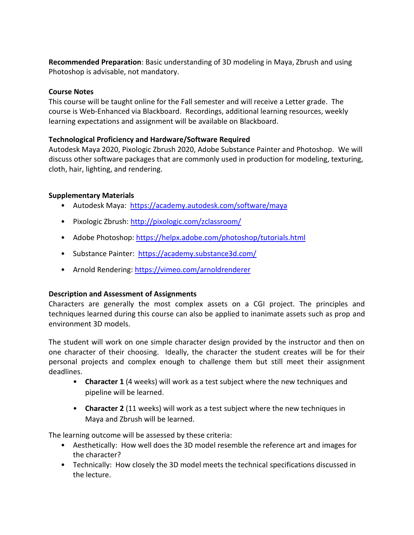**Recommended Preparation**: Basic understanding of 3D modeling in Maya, Zbrush and using Photoshop is advisable, not mandatory.

# **Course Notes**

This course will be taught online for the Fall semester and will receive a Letter grade. The course is Web-Enhanced via Blackboard. Recordings, additional learning resources, weekly learning expectations and assignment will be available on Blackboard.

# **Technological Proficiency and Hardware/Software Required**

Autodesk Maya 2020, Pixologic Zbrush 2020, Adobe Substance Painter and Photoshop. We will discuss other software packages that are commonly used in production for modeling, texturing, cloth, hair, lighting, and rendering.

# **Supplementary Materials**

- Autodesk Maya: <https://academy.autodesk.com/software/maya>
- Pixologic Zbrush:<http://pixologic.com/zclassroom/>
- Adobe Photoshop:<https://helpx.adobe.com/photoshop/tutorials.html>
- Substance Painter: <https://academy.substance3d.com/>
- Arnold Rendering:<https://vimeo.com/arnoldrenderer>

# **Description and Assessment of Assignments**

Characters are generally the most complex assets on a CGI project. The principles and techniques learned during this course can also be applied to inanimate assets such as prop and environment 3D models.

The student will work on one simple character design provided by the instructor and then on one character of their choosing. Ideally, the character the student creates will be for their personal projects and complex enough to challenge them but still meet their assignment deadlines.

- **Character 1** (4 weeks) will work as a test subject where the new techniques and pipeline will be learned.
- **Character 2** (11 weeks) will work as a test subject where the new techniques in Maya and Zbrush will be learned.

The learning outcome will be assessed by these criteria:

- Aesthetically: How well does the 3D model resemble the reference art and images for the character?
- Technically: How closely the 3D model meets the technical specifications discussed in the lecture.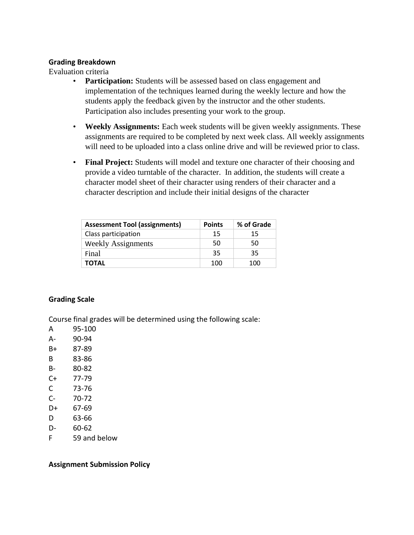### **Grading Breakdown**

Evaluation criteria

- **Participation:** Students will be assessed based on class engagement and implementation of the techniques learned during the weekly lecture and how the students apply the feedback given by the instructor and the other students. Participation also includes presenting your work to the group.
- **Weekly Assignments:** Each week students will be given weekly assignments. These assignments are required to be completed by next week class. All weekly assignments will need to be uploaded into a class online drive and will be reviewed prior to class.
- **Final Project:** Students will model and texture one character of their choosing and provide a video turntable of the character. In addition, the students will create a character model sheet of their character using renders of their character and a character description and include their initial designs of the character

| <b>Assessment Tool (assignments)</b> | <b>Points</b> | % of Grade |
|--------------------------------------|---------------|------------|
| Class participation                  | 15            | 15         |
| <b>Weekly Assignments</b>            | 50            | 50         |
| Final                                | 35            | 35         |
| TOTAL                                | 100           | 100        |

## **Grading Scale**

Course final grades will be determined using the following scale:

- A 95-100
- A- 90-94
- B+ 87-89
- B 83-86
- B- 80-82
- C+ 77-79
- C 73-76
- C- 70-72
- D+ 67-69
- D 63-66
- D- 60-62
- F 59 and below

## **Assignment Submission Policy**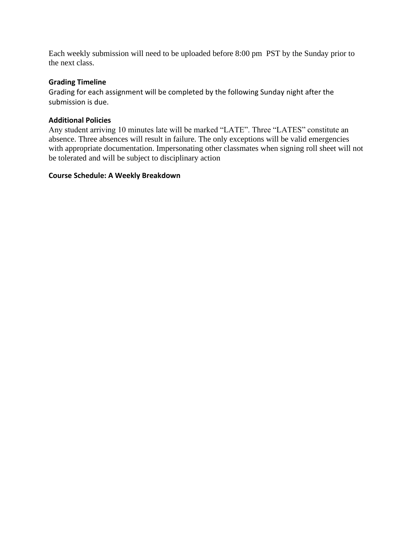Each weekly submission will need to be uploaded before 8:00 pm PST by the Sunday prior to the next class.

# **Grading Timeline**

Grading for each assignment will be completed by the following Sunday night after the submission is due.

# **Additional Policies**

Any student arriving 10 minutes late will be marked "LATE". Three "LATES" constitute an absence. Three absences will result in failure. The only exceptions will be valid emergencies with appropriate documentation. Impersonating other classmates when signing roll sheet will not be tolerated and will be subject to disciplinary action

## **Course Schedule: A Weekly Breakdown**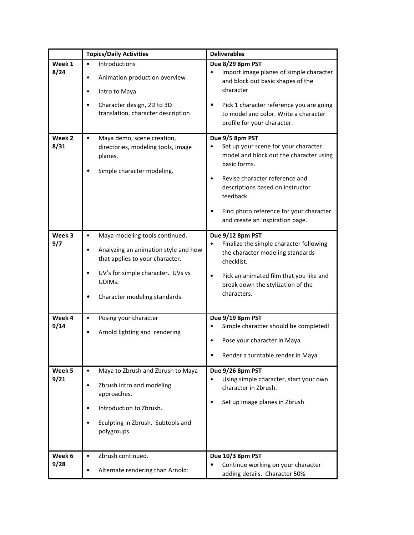|                | <b>Topics/Daily Activities</b>                                                                                                                                                                                           | <b>Deliverables</b>                                                                                                                                                                                                                                                                                        |
|----------------|--------------------------------------------------------------------------------------------------------------------------------------------------------------------------------------------------------------------------|------------------------------------------------------------------------------------------------------------------------------------------------------------------------------------------------------------------------------------------------------------------------------------------------------------|
| Week 1<br>8/24 | Introductions<br>$\bullet$<br>Animation production overview<br>٠<br>Intro to Maya<br>٠<br>Character design, 2D to 3D<br>$\bullet$<br>translation, character description                                                  | Due 8/29 8pm PST<br>Import image planes of simple character<br>and block out basic shapes of the<br>character<br>Pick 1 character reference you are going<br>٠<br>to model and color. Write a character<br>profile for your character.                                                                     |
| Week 2<br>8/31 | $\bullet$<br>Maya demo, scene creation,<br>directories, modeling tools, image<br>planes.<br>Simple character modeling.                                                                                                   | Due 9/5 8pm PST<br>Set up your scene for your character<br>٠<br>model and block out the character using<br>basic forms.<br>Revise character reference and<br>$\bullet$<br>descriptions based on instructor<br>feedback.<br>Find photo reference for your character<br>٠<br>and create an inspiration page. |
| Week 3<br>9/7  | Maya modeling tools continued.<br>$\bullet$<br>Analyzing an animation style and how<br>٠<br>that applies to your character.<br>UV's for simple character. UVs vs<br>$\bullet$<br>UDIMs.<br>Character modeling standards. | Due 9/12 8pm PST<br>Finalize the simple character following<br>٠<br>the character modeling standards<br>checklist.<br>Pick an animated film that you like and<br>$\bullet$<br>break down the stylization of the<br>characters.                                                                             |
| Week 4<br>9/14 | Posing your character<br>٠<br>Arnold lighting and rendering<br>٠                                                                                                                                                         | Due 9/19 8pm PST<br>Simple character should be completed!<br>$\bullet$<br>Pose your character in Maya<br>Render a turntable render in Maya.<br>$\bullet$                                                                                                                                                   |
| Week 5<br>9/21 | Maya to Zbrush and Zbrush to Maya<br>$\bullet$<br>Zbrush intro and modeling<br>$\bullet$<br>approaches.<br>Introduction to Zbrush.<br>$\bullet$<br>Sculpting in Zbrush. Subtools and<br>$\bullet$<br>polygroups.         | Due 9/26 8pm PST<br>Using simple character, start your own<br>$\bullet$<br>character in Zbrush.<br>Set up image planes in Zbrush<br>$\bullet$                                                                                                                                                              |
| Week 6<br>9/28 | Zbrush continued.<br>$\bullet$<br>Alternate rendering than Arnold:<br>٠                                                                                                                                                  | Due 10/3 8pm PST<br>Continue working on your character<br>$\bullet$<br>adding details. Character 50%                                                                                                                                                                                                       |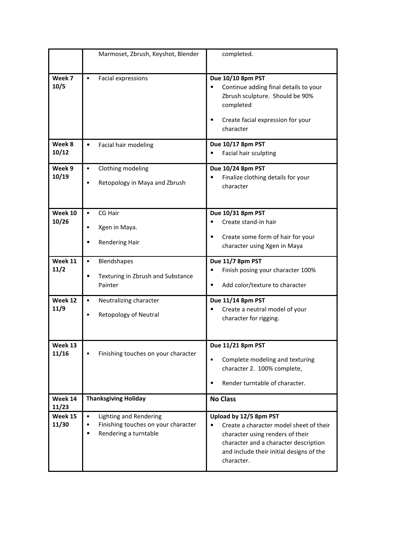|                  | Marmoset, Zbrush, Keyshot, Blender                                                                                                   | completed.                                                                                                                                                                                               |
|------------------|--------------------------------------------------------------------------------------------------------------------------------------|----------------------------------------------------------------------------------------------------------------------------------------------------------------------------------------------------------|
| Week 7<br>10/5   | $\bullet$<br>Facial expressions                                                                                                      | Due 10/10 8pm PST<br>Continue adding final details to your<br>Zbrush sculpture. Should be 90%<br>completed<br>Create facial expression for your<br>$\bullet$<br>character                                |
| Week 8<br>10/12  | $\bullet$<br>Facial hair modeling                                                                                                    | Due 10/17 8pm PST<br>Facial hair sculpting<br>$\bullet$                                                                                                                                                  |
| Week 9<br>10/19  | Clothing modeling<br>$\bullet$<br>Retopology in Maya and Zbrush<br>$\bullet$                                                         | Due 10/24 8pm PST<br>Finalize clothing details for your<br>character                                                                                                                                     |
| Week 10<br>10/26 | $\bullet$<br>CG Hair<br>Xgen in Maya.<br>٠<br><b>Rendering Hair</b>                                                                  | Due 10/31 8pm PST<br>Create stand-in hair<br>٠<br>Create some form of hair for your<br>$\bullet$<br>character using Xgen in Maya                                                                         |
| Week 11<br>11/2  | Blendshapes<br>$\bullet$<br>Texturing in Zbrush and Substance<br>$\bullet$<br>Painter                                                | Due 11/7 8pm PST<br>Finish posing your character 100%<br>٠<br>Add color/texture to character<br>$\bullet$                                                                                                |
| Week 12<br>11/9  | $\bullet$<br>Neutralizing character<br>Retopology of Neutral<br>$\bullet$                                                            | Due 11/14 8pm PST<br>Create a neutral model of your<br>$\bullet$<br>character for rigging.                                                                                                               |
| Week 13<br>11/16 | Finishing touches on your character                                                                                                  | Due 11/21 8pm PST<br>Complete modeling and texturing<br>$\bullet$<br>character 2. 100% complete,<br>Render turntable of character.<br>٠                                                                  |
| Week 14<br>11/23 | <b>Thanksgiving Holiday</b>                                                                                                          | <b>No Class</b>                                                                                                                                                                                          |
| Week 15<br>11/30 | $\bullet$<br><b>Lighting and Rendering</b><br>Finishing touches on your character<br>$\bullet$<br>Rendering a turntable<br>$\bullet$ | Upload by 12/5 8pm PST<br>Create a character model sheet of their<br>character using renders of their<br>character and a character description<br>and include their initial designs of the<br>character. |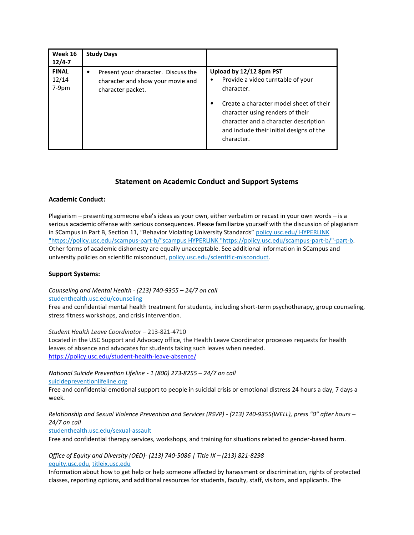| Week 16<br>$12/4 - 7$            | <b>Study Days</b>                                                                                  |                                                                                                                                                                                                                                                                                |
|----------------------------------|----------------------------------------------------------------------------------------------------|--------------------------------------------------------------------------------------------------------------------------------------------------------------------------------------------------------------------------------------------------------------------------------|
| <b>FINAL</b><br>12/14<br>$7-9pm$ | Present your character. Discuss the<br>٠<br>character and show your movie and<br>character packet. | Upload by 12/12 8pm PST<br>Provide a video turntable of your<br>٠<br>character.<br>Create a character model sheet of their<br>$\bullet$<br>character using renders of their<br>character and a character description<br>and include their initial designs of the<br>character. |

## **Statement on Academic Conduct and Support Systems**

#### **Academic Conduct:**

Plagiarism – presenting someone else's ideas as your own, either verbatim or recast in your own words – is a serious academic offense with serious consequences. Please familiarize yourself with the discussion of plagiarism in SCampus in Part B, Section 11, "Behavior Violating University Standards" policy.usc.edu/ HYPERLINK ["https://policy.usc.edu/scampus-part-b/"scampus HYPERLINK "https://policy.usc.edu/scampus-part-b/"-part-b.](https://policy.usc.edu/scampus-part-b/)  Other forms of academic dishonesty are equally unacceptable. See additional information in SCampus and university policies on scientific misconduct[, policy.usc.edu/scientific-misconduct.](http://policy.usc.edu/scientific-misconduct)

#### **Support Systems:**

*Counseling and Mental Health - (213) 740-9355 – 24/7 on call* [studenthealth.usc.edu/counseling](https://studenthealth.usc.edu/counseling/)

Free and confidential mental health treatment for students, including short-term psychotherapy, group counseling, stress fitness workshops, and crisis intervention.

*Student Health Leave Coordinator* – 213-821-4710

Located in the USC Support and Advocacy office, the Health Leave Coordinator processes requests for health leaves of absence and advocates for students taking such leaves when needed. <https://policy.usc.edu/student-health-leave-absence/>

*National Suicide Prevention Lifeline - 1 (800) 273-8255 – 24/7 on call* [suicidepreventionlifeline.org](http://www.suicidepreventionlifeline.org/)

Free and confidential emotional support to people in suicidal crisis or emotional distress 24 hours a day, 7 days a week.

*Relationship and Sexual Violence Prevention and Services (RSVP) - (213) 740-9355(WELL), press "0" after hours – 24/7 on call*

[studenthealth.usc.edu/sexual-assault](https://studenthealth.usc.edu/sexual-assault/)

Free and confidential therapy services, workshops, and training for situations related to gender-based harm.

*Office of Equity and Diversity (OED)- (213) 740-5086 | Title IX – (213) 821-8298* [equity.usc.edu,](https://equity.usc.edu/) [titleix.usc.edu](http://titleix.usc.edu/)

Information about how to get help or help someone affected by harassment or discrimination, rights of protected classes, reporting options, and additional resources for students, faculty, staff, visitors, and applicants. The